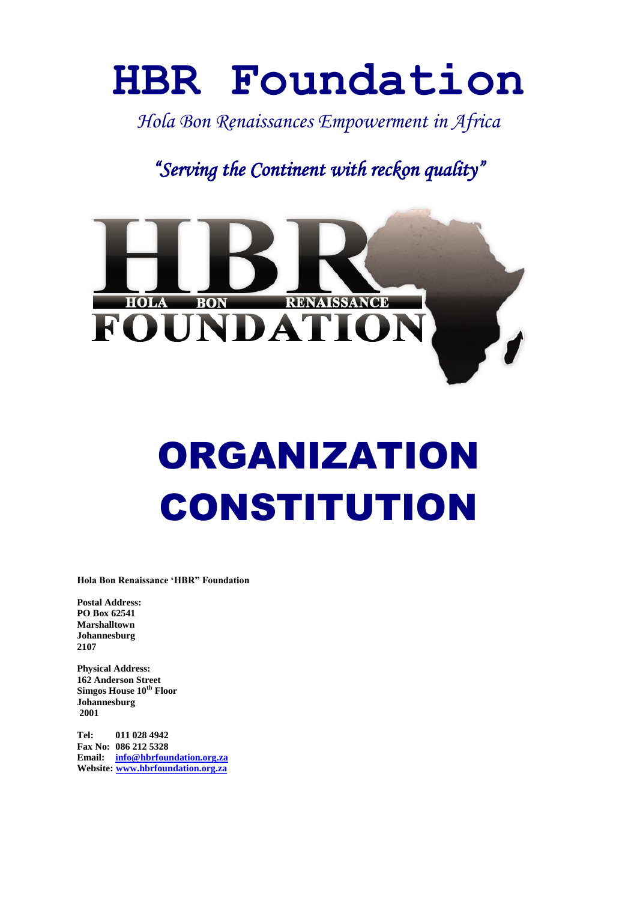# **HBR Foundation**

*Hola Bon Renaissances Empowerment in Africa* 

*"Serving the Continent with reckon quality"* 



# ORGANIZATION CONSTITUTION

**Hola Bon Renaissance 'HBR" Foundation**

**Postal Address: PO Box 62541 Marshalltown Johannesburg 2107**

**Physical Address: 162 Anderson Street Simgos House 10th Floor Johannesburg 2001**

**Tel: 011 028 4942 Fax No: 086 212 5328 Email: [info@hbrfoundation.org.za](mailto:info@hbrfoundation.org.za) Website: [www.hbrfoundation.org.za](http://www.hbrfoundation.org.za/)**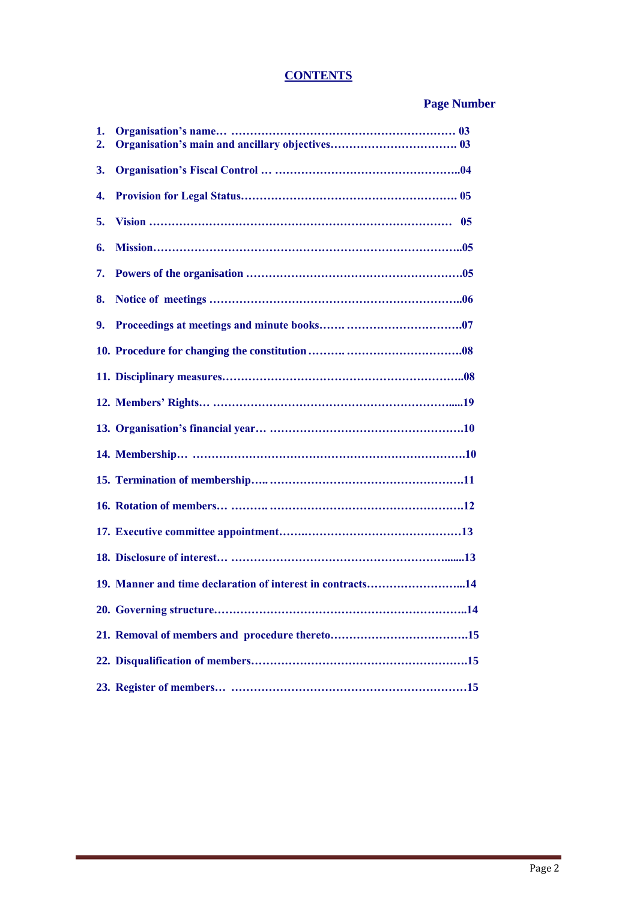# **CONTENTS**

# **Page Number**

| 1.<br>2. |                                                            |
|----------|------------------------------------------------------------|
| 3.       |                                                            |
| 4.       |                                                            |
| 5.       |                                                            |
| 6.       |                                                            |
| 7.       |                                                            |
| 8.       |                                                            |
| 9.       |                                                            |
|          |                                                            |
|          |                                                            |
|          |                                                            |
|          |                                                            |
|          |                                                            |
|          |                                                            |
|          |                                                            |
|          |                                                            |
|          |                                                            |
|          | 19. Manner and time declaration of interest in contracts14 |
|          |                                                            |
|          |                                                            |
|          |                                                            |
|          |                                                            |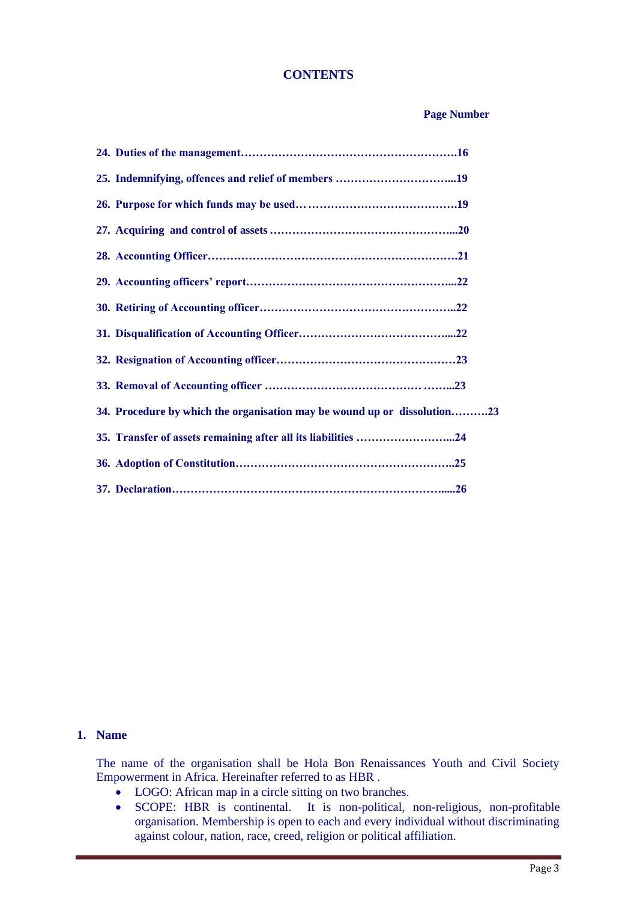#### **CONTENTS**

#### **Page Number**

| 34. Procedure by which the organisation may be wound up or dissolution23 |  |
|--------------------------------------------------------------------------|--|
|                                                                          |  |
|                                                                          |  |
|                                                                          |  |

## **1. Name**

The name of the organisation shall be Hola Bon Renaissances Youth and Civil Society Empowerment in Africa. Hereinafter referred to as HBR .

- LOGO: African map in a circle sitting on two branches.
- SCOPE: HBR is continental. It is non-political, non-religious, non-profitable organisation. Membership is open to each and every individual without discriminating against colour, nation, race, creed, religion or political affiliation.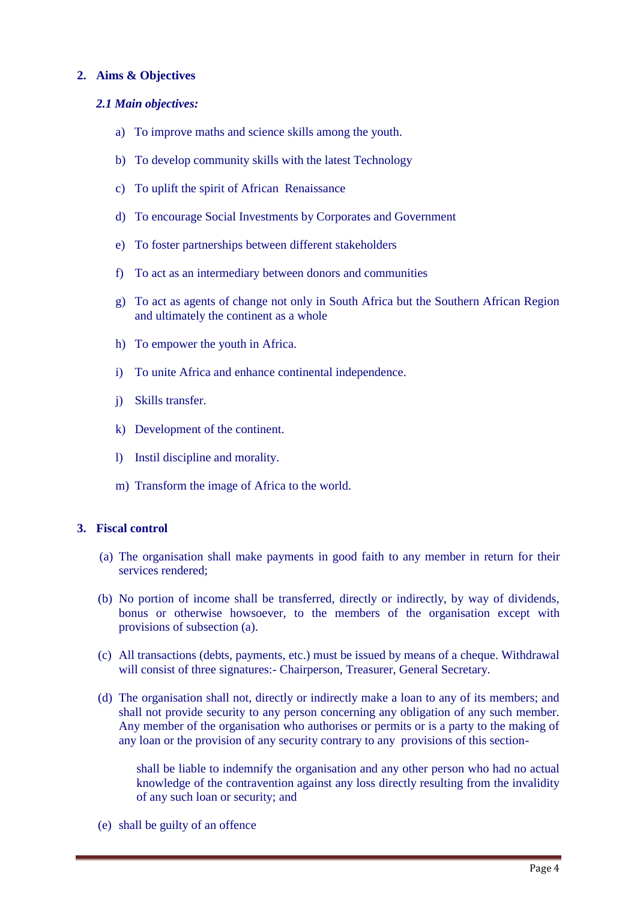#### **2. Aims & Objectives**

#### *2.1 Main objectives:*

- a) To improve maths and science skills among the youth.
- b) To develop community skills with the latest Technology
- c) To uplift the spirit of African Renaissance
- d) To encourage Social Investments by Corporates and Government
- e) To foster partnerships between different stakeholders
- f) To act as an intermediary between donors and communities
- g) To act as agents of change not only in South Africa but the Southern African Region and ultimately the continent as a whole
- h) To empower the youth in Africa.
- i) To unite Africa and enhance continental independence.
- j) Skills transfer.
- k) Development of the continent.
- l) Instil discipline and morality.
- m) Transform the image of Africa to the world.

#### **3. Fiscal control**

- (a) The organisation shall make payments in good faith to any member in return for their services rendered;
- (b) No portion of income shall be transferred, directly or indirectly, by way of dividends, bonus or otherwise howsoever, to the members of the organisation except with provisions of subsection (a).
- (c) All transactions (debts, payments, etc.) must be issued by means of a cheque. Withdrawal will consist of three signatures: - Chairperson, Treasurer, General Secretary.
- (d) The organisation shall not, directly or indirectly make a loan to any of its members; and shall not provide security to any person concerning any obligation of any such member. Any member of the organisation who authorises or permits or is a party to the making of any loan or the provision of any security contrary to any provisions of this section-

shall be liable to indemnify the organisation and any other person who had no actual knowledge of the contravention against any loss directly resulting from the invalidity of any such loan or security; and

(e) shall be guilty of an offence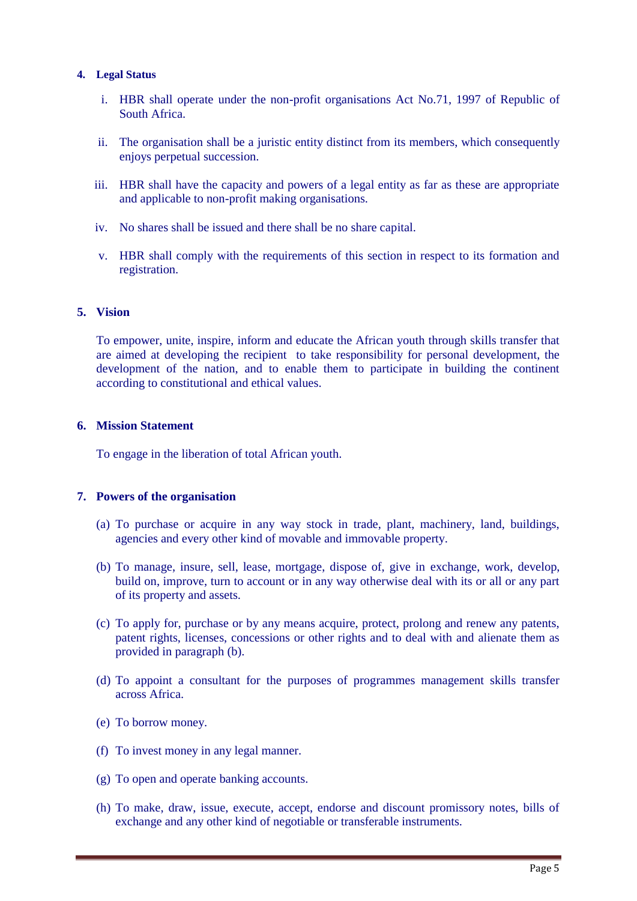#### **4. Legal Status**

- i. HBR shall operate under the non-profit organisations Act No.71, 1997 of Republic of South Africa.
- ii. The organisation shall be a juristic entity distinct from its members, which consequently enjoys perpetual succession.
- iii. HBR shall have the capacity and powers of a legal entity as far as these are appropriate and applicable to non-profit making organisations.
- iv. No shares shall be issued and there shall be no share capital.
- v. HBR shall comply with the requirements of this section in respect to its formation and registration.

#### **5. Vision**

To empower, unite, inspire, inform and educate the African youth through skills transfer that are aimed at developing the recipient to take responsibility for personal development, the development of the nation, and to enable them to participate in building the continent according to constitutional and ethical values.

#### **6. Mission Statement**

To engage in the liberation of total African youth.

#### **7. Powers of the organisation**

- (a) To purchase or acquire in any way stock in trade, plant, machinery, land, buildings, agencies and every other kind of movable and immovable property.
- (b) To manage, insure, sell, lease, mortgage, dispose of, give in exchange, work, develop, build on, improve, turn to account or in any way otherwise deal with its or all or any part of its property and assets.
- (c) To apply for, purchase or by any means acquire, protect, prolong and renew any patents, patent rights, licenses, concessions or other rights and to deal with and alienate them as provided in paragraph (b).
- (d) To appoint a consultant for the purposes of programmes management skills transfer across Africa.
- (e) To borrow money.
- (f) To invest money in any legal manner.
- (g) To open and operate banking accounts.
- (h) To make, draw, issue, execute, accept, endorse and discount promissory notes, bills of exchange and any other kind of negotiable or transferable instruments.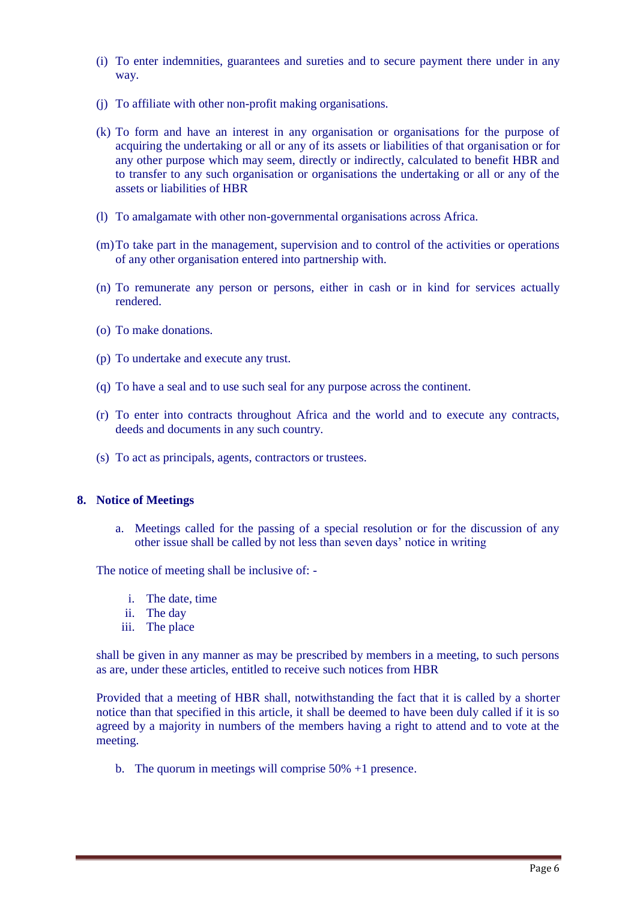- (i) To enter indemnities, guarantees and sureties and to secure payment there under in any way.
- (j) To affiliate with other non-profit making organisations.
- (k) To form and have an interest in any organisation or organisations for the purpose of acquiring the undertaking or all or any of its assets or liabilities of that organisation or for any other purpose which may seem, directly or indirectly, calculated to benefit HBR and to transfer to any such organisation or organisations the undertaking or all or any of the assets or liabilities of HBR
- (l) To amalgamate with other non-governmental organisations across Africa.
- (m)To take part in the management, supervision and to control of the activities or operations of any other organisation entered into partnership with.
- (n) To remunerate any person or persons, either in cash or in kind for services actually rendered.
- (o) To make donations.
- (p) To undertake and execute any trust.
- (q) To have a seal and to use such seal for any purpose across the continent.
- (r) To enter into contracts throughout Africa and the world and to execute any contracts, deeds and documents in any such country.
- (s) To act as principals, agents, contractors or trustees.

#### **8. Notice of Meetings**

a. Meetings called for the passing of a special resolution or for the discussion of any other issue shall be called by not less than seven days' notice in writing

The notice of meeting shall be inclusive of: -

- i. The date, time
- ii. The day
- iii. The place

shall be given in any manner as may be prescribed by members in a meeting, to such persons as are, under these articles, entitled to receive such notices from HBR

Provided that a meeting of HBR shall, notwithstanding the fact that it is called by a shorter notice than that specified in this article, it shall be deemed to have been duly called if it is so agreed by a majority in numbers of the members having a right to attend and to vote at the meeting.

b. The quorum in meetings will comprise 50% +1 presence.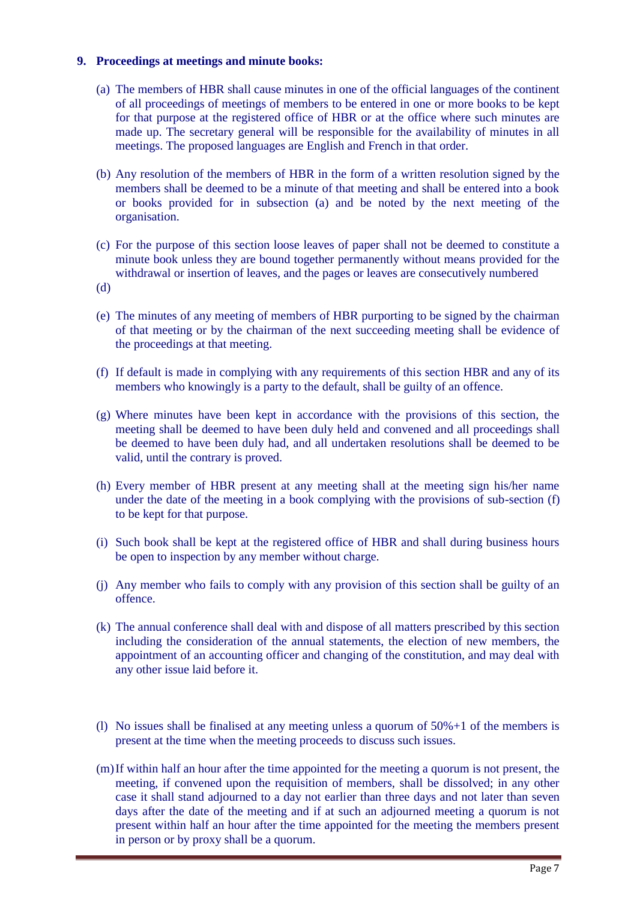#### **9. Proceedings at meetings and minute books:**

- (a) The members of HBR shall cause minutes in one of the official languages of the continent of all proceedings of meetings of members to be entered in one or more books to be kept for that purpose at the registered office of HBR or at the office where such minutes are made up. The secretary general will be responsible for the availability of minutes in all meetings. The proposed languages are English and French in that order.
- (b) Any resolution of the members of HBR in the form of a written resolution signed by the members shall be deemed to be a minute of that meeting and shall be entered into a book or books provided for in subsection (a) and be noted by the next meeting of the organisation.
- (c) For the purpose of this section loose leaves of paper shall not be deemed to constitute a minute book unless they are bound together permanently without means provided for the withdrawal or insertion of leaves, and the pages or leaves are consecutively numbered
- (d)
- (e) The minutes of any meeting of members of HBR purporting to be signed by the chairman of that meeting or by the chairman of the next succeeding meeting shall be evidence of the proceedings at that meeting.
- (f) If default is made in complying with any requirements of this section HBR and any of its members who knowingly is a party to the default, shall be guilty of an offence.
- (g) Where minutes have been kept in accordance with the provisions of this section, the meeting shall be deemed to have been duly held and convened and all proceedings shall be deemed to have been duly had, and all undertaken resolutions shall be deemed to be valid, until the contrary is proved.
- (h) Every member of HBR present at any meeting shall at the meeting sign his/her name under the date of the meeting in a book complying with the provisions of sub-section (f) to be kept for that purpose.
- (i) Such book shall be kept at the registered office of HBR and shall during business hours be open to inspection by any member without charge.
- (j) Any member who fails to comply with any provision of this section shall be guilty of an offence.
- (k) The annual conference shall deal with and dispose of all matters prescribed by this section including the consideration of the annual statements, the election of new members, the appointment of an accounting officer and changing of the constitution, and may deal with any other issue laid before it.
- (1) No issues shall be finalised at any meeting unless a quorum of  $50\% + 1$  of the members is present at the time when the meeting proceeds to discuss such issues.
- (m)If within half an hour after the time appointed for the meeting a quorum is not present, the meeting, if convened upon the requisition of members, shall be dissolved; in any other case it shall stand adjourned to a day not earlier than three days and not later than seven days after the date of the meeting and if at such an adjourned meeting a quorum is not present within half an hour after the time appointed for the meeting the members present in person or by proxy shall be a quorum.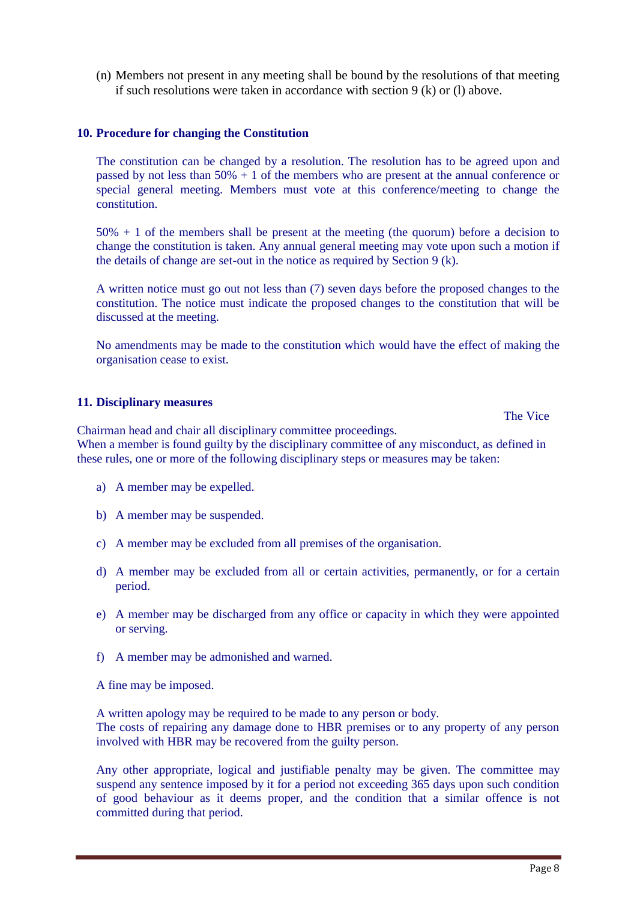(n) Members not present in any meeting shall be bound by the resolutions of that meeting if such resolutions were taken in accordance with section 9 (k) or (l) above.

#### **10. Procedure for changing the Constitution**

The constitution can be changed by a resolution. The resolution has to be agreed upon and passed by not less than  $50\% + 1$  of the members who are present at the annual conference or special general meeting. Members must vote at this conference/meeting to change the constitution.

50% + 1 of the members shall be present at the meeting (the quorum) before a decision to change the constitution is taken. Any annual general meeting may vote upon such a motion if the details of change are set-out in the notice as required by Section 9 (k).

A written notice must go out not less than (7) seven days before the proposed changes to the constitution. The notice must indicate the proposed changes to the constitution that will be discussed at the meeting.

No amendments may be made to the constitution which would have the effect of making the organisation cease to exist.

#### **11. Disciplinary measures**

The Vice

Chairman head and chair all disciplinary committee proceedings. When a member is found guilty by the disciplinary committee of any misconduct, as defined in these rules, one or more of the following disciplinary steps or measures may be taken:

- a) A member may be expelled.
- b) A member may be suspended.
- c) A member may be excluded from all premises of the organisation.
- d) A member may be excluded from all or certain activities, permanently, or for a certain period.
- e) A member may be discharged from any office or capacity in which they were appointed or serving.
- f) A member may be admonished and warned.

A fine may be imposed.

A written apology may be required to be made to any person or body. The costs of repairing any damage done to HBR premises or to any property of any person involved with HBR may be recovered from the guilty person.

Any other appropriate, logical and justifiable penalty may be given. The committee may suspend any sentence imposed by it for a period not exceeding 365 days upon such condition of good behaviour as it deems proper, and the condition that a similar offence is not committed during that period.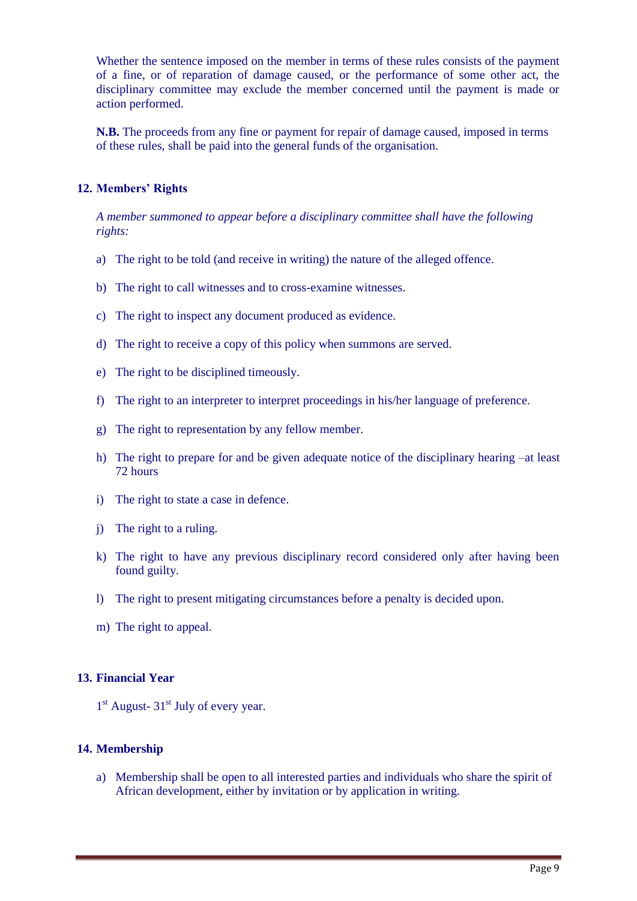Whether the sentence imposed on the member in terms of these rules consists of the payment of a fine, or of reparation of damage caused, or the performance of some other act, the disciplinary committee may exclude the member concerned until the payment is made or action performed.

**N.B.** The proceeds from any fine or payment for repair of damage caused, imposed in terms of these rules, shall be paid into the general funds of the organisation.

#### **12. Members' Rights**

*A member summoned to appear before a disciplinary committee shall have the following rights:*

- a) The right to be told (and receive in writing) the nature of the alleged offence.
- b) The right to call witnesses and to cross-examine witnesses.
- c) The right to inspect any document produced as evidence.
- d) The right to receive a copy of this policy when summons are served.
- e) The right to be disciplined timeously.
- f) The right to an interpreter to interpret proceedings in his/her language of preference.
- g) The right to representation by any fellow member.
- h) The right to prepare for and be given adequate notice of the disciplinary hearing –at least 72 hours
- i) The right to state a case in defence.
- j) The right to a ruling.
- k) The right to have any previous disciplinary record considered only after having been found guilty.
- l) The right to present mitigating circumstances before a penalty is decided upon.
- m) The right to appeal.

#### **13. Financial Year**

1<sup>st</sup> August- 31<sup>st</sup> July of every year.

#### **14. Membership**

a) Membership shall be open to all interested parties and individuals who share the spirit of African development, either by invitation or by application in writing.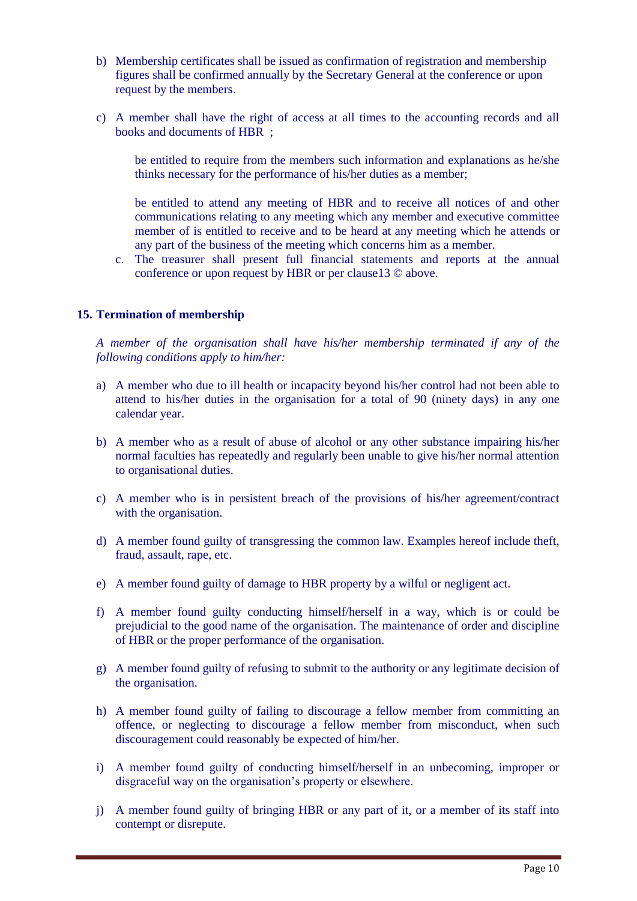- b) Membership certificates shall be issued as confirmation of registration and membership figures shall be confirmed annually by the Secretary General at the conference or upon request by the members.
- c) A member shall have the right of access at all times to the accounting records and all books and documents of HBR ;

be entitled to require from the members such information and explanations as he/she thinks necessary for the performance of his/her duties as a member;

be entitled to attend any meeting of HBR and to receive all notices of and other communications relating to any meeting which any member and executive committee member of is entitled to receive and to be heard at any meeting which he attends or any part of the business of the meeting which concerns him as a member.

c. The treasurer shall present full financial statements and reports at the annual conference or upon request by HBR or per clause13 © above.

#### **15. Termination of membership**

*A member of the organisation shall have his/her membership terminated if any of the following conditions apply to him/her:*

- a) A member who due to ill health or incapacity beyond his/her control had not been able to attend to his/her duties in the organisation for a total of 90 (ninety days) in any one calendar year.
- b) A member who as a result of abuse of alcohol or any other substance impairing his/her normal faculties has repeatedly and regularly been unable to give his/her normal attention to organisational duties.
- c) A member who is in persistent breach of the provisions of his/her agreement/contract with the organisation.
- d) A member found guilty of transgressing the common law. Examples hereof include theft, fraud, assault, rape, etc.
- e) A member found guilty of damage to HBR property by a wilful or negligent act.
- f) A member found guilty conducting himself/herself in a way, which is or could be prejudicial to the good name of the organisation. The maintenance of order and discipline of HBR or the proper performance of the organisation.
- g) A member found guilty of refusing to submit to the authority or any legitimate decision of the organisation.
- h) A member found guilty of failing to discourage a fellow member from committing an offence, or neglecting to discourage a fellow member from misconduct, when such discouragement could reasonably be expected of him/her.
- i) A member found guilty of conducting himself/herself in an unbecoming, improper or disgraceful way on the organisation's property or elsewhere.
- j) A member found guilty of bringing HBR or any part of it, or a member of its staff into contempt or disrepute.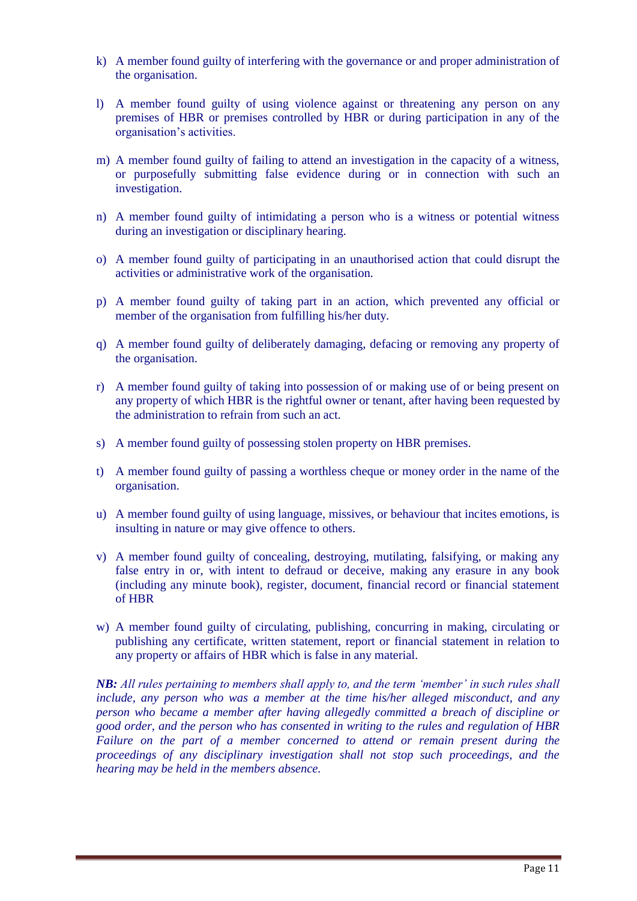- k) A member found guilty of interfering with the governance or and proper administration of the organisation.
- l) A member found guilty of using violence against or threatening any person on any premises of HBR or premises controlled by HBR or during participation in any of the organisation's activities.
- m) A member found guilty of failing to attend an investigation in the capacity of a witness, or purposefully submitting false evidence during or in connection with such an investigation.
- n) A member found guilty of intimidating a person who is a witness or potential witness during an investigation or disciplinary hearing.
- o) A member found guilty of participating in an unauthorised action that could disrupt the activities or administrative work of the organisation.
- p) A member found guilty of taking part in an action, which prevented any official or member of the organisation from fulfilling his/her duty.
- q) A member found guilty of deliberately damaging, defacing or removing any property of the organisation.
- r) A member found guilty of taking into possession of or making use of or being present on any property of which HBR is the rightful owner or tenant, after having been requested by the administration to refrain from such an act.
- s) A member found guilty of possessing stolen property on HBR premises.
- t) A member found guilty of passing a worthless cheque or money order in the name of the organisation.
- u) A member found guilty of using language, missives, or behaviour that incites emotions, is insulting in nature or may give offence to others.
- v) A member found guilty of concealing, destroying, mutilating, falsifying, or making any false entry in or, with intent to defraud or deceive, making any erasure in any book (including any minute book), register, document, financial record or financial statement of HBR
- w) A member found guilty of circulating, publishing, concurring in making, circulating or publishing any certificate, written statement, report or financial statement in relation to any property or affairs of HBR which is false in any material.

*NB: All rules pertaining to members shall apply to, and the term 'member' in such rules shall include, any person who was a member at the time his/her alleged misconduct, and any person who became a member after having allegedly committed a breach of discipline or good order, and the person who has consented in writing to the rules and regulation of HBR Failure on the part of a member concerned to attend or remain present during the proceedings of any disciplinary investigation shall not stop such proceedings, and the hearing may be held in the members absence.*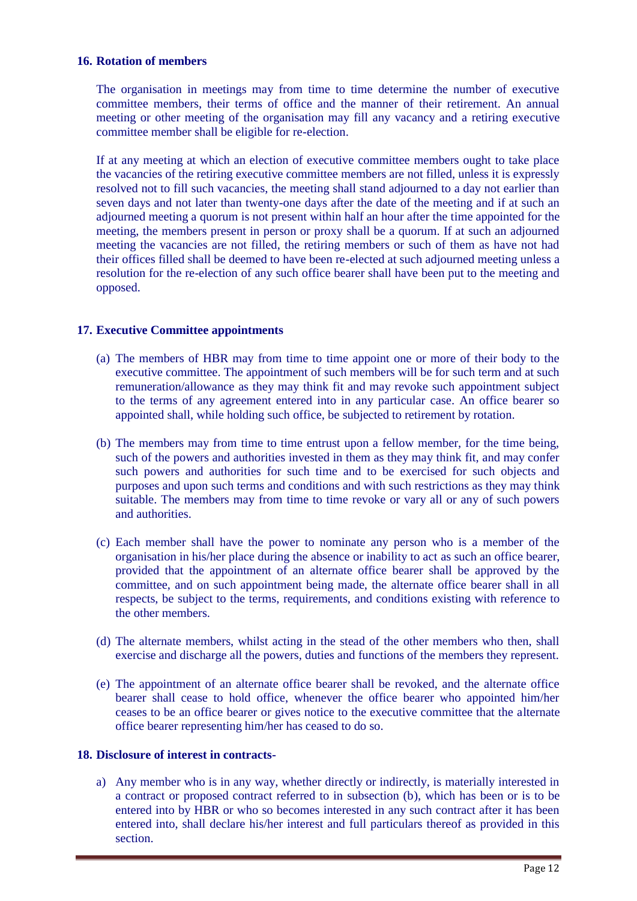#### **16. Rotation of members**

The organisation in meetings may from time to time determine the number of executive committee members, their terms of office and the manner of their retirement. An annual meeting or other meeting of the organisation may fill any vacancy and a retiring executive committee member shall be eligible for re-election.

If at any meeting at which an election of executive committee members ought to take place the vacancies of the retiring executive committee members are not filled, unless it is expressly resolved not to fill such vacancies, the meeting shall stand adjourned to a day not earlier than seven days and not later than twenty-one days after the date of the meeting and if at such an adjourned meeting a quorum is not present within half an hour after the time appointed for the meeting, the members present in person or proxy shall be a quorum. If at such an adjourned meeting the vacancies are not filled, the retiring members or such of them as have not had their offices filled shall be deemed to have been re-elected at such adjourned meeting unless a resolution for the re-election of any such office bearer shall have been put to the meeting and opposed.

#### **17. Executive Committee appointments**

- (a) The members of HBR may from time to time appoint one or more of their body to the executive committee. The appointment of such members will be for such term and at such remuneration/allowance as they may think fit and may revoke such appointment subject to the terms of any agreement entered into in any particular case. An office bearer so appointed shall, while holding such office, be subjected to retirement by rotation.
- (b) The members may from time to time entrust upon a fellow member, for the time being, such of the powers and authorities invested in them as they may think fit, and may confer such powers and authorities for such time and to be exercised for such objects and purposes and upon such terms and conditions and with such restrictions as they may think suitable. The members may from time to time revoke or vary all or any of such powers and authorities.
- (c) Each member shall have the power to nominate any person who is a member of the organisation in his/her place during the absence or inability to act as such an office bearer, provided that the appointment of an alternate office bearer shall be approved by the committee, and on such appointment being made, the alternate office bearer shall in all respects, be subject to the terms, requirements, and conditions existing with reference to the other members.
- (d) The alternate members, whilst acting in the stead of the other members who then, shall exercise and discharge all the powers, duties and functions of the members they represent.
- (e) The appointment of an alternate office bearer shall be revoked, and the alternate office bearer shall cease to hold office, whenever the office bearer who appointed him/her ceases to be an office bearer or gives notice to the executive committee that the alternate office bearer representing him/her has ceased to do so.

#### **18. Disclosure of interest in contracts-**

a) Any member who is in any way, whether directly or indirectly, is materially interested in a contract or proposed contract referred to in subsection (b), which has been or is to be entered into by HBR or who so becomes interested in any such contract after it has been entered into, shall declare his/her interest and full particulars thereof as provided in this section.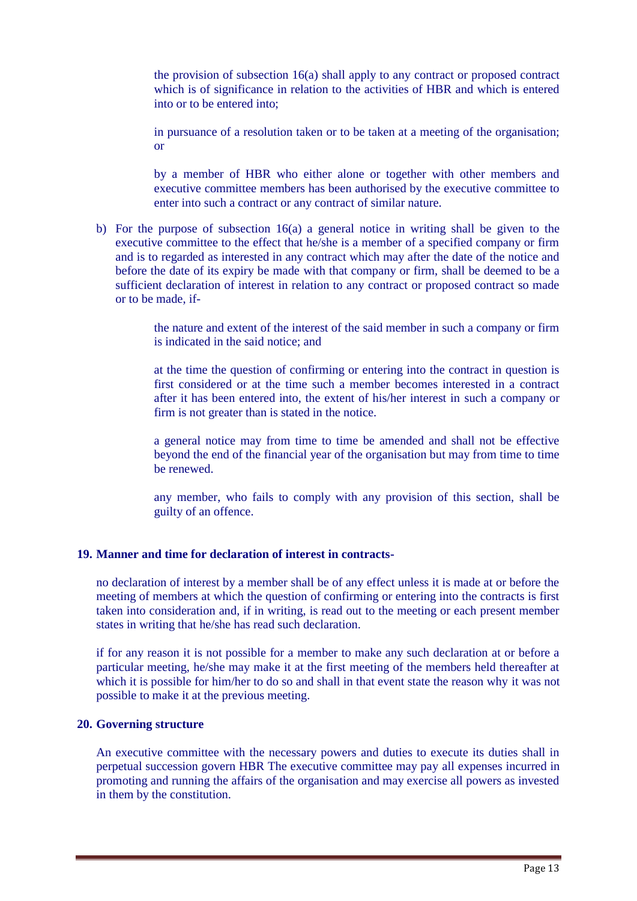the provision of subsection 16(a) shall apply to any contract or proposed contract which is of significance in relation to the activities of HBR and which is entered into or to be entered into;

in pursuance of a resolution taken or to be taken at a meeting of the organisation; or

by a member of HBR who either alone or together with other members and executive committee members has been authorised by the executive committee to enter into such a contract or any contract of similar nature.

b) For the purpose of subsection 16(a) a general notice in writing shall be given to the executive committee to the effect that he/she is a member of a specified company or firm and is to regarded as interested in any contract which may after the date of the notice and before the date of its expiry be made with that company or firm, shall be deemed to be a sufficient declaration of interest in relation to any contract or proposed contract so made or to be made, if-

> the nature and extent of the interest of the said member in such a company or firm is indicated in the said notice; and

> at the time the question of confirming or entering into the contract in question is first considered or at the time such a member becomes interested in a contract after it has been entered into, the extent of his/her interest in such a company or firm is not greater than is stated in the notice.

> a general notice may from time to time be amended and shall not be effective beyond the end of the financial year of the organisation but may from time to time be renewed.

> any member, who fails to comply with any provision of this section, shall be guilty of an offence.

#### **19. Manner and time for declaration of interest in contracts-**

no declaration of interest by a member shall be of any effect unless it is made at or before the meeting of members at which the question of confirming or entering into the contracts is first taken into consideration and, if in writing, is read out to the meeting or each present member states in writing that he/she has read such declaration.

if for any reason it is not possible for a member to make any such declaration at or before a particular meeting, he/she may make it at the first meeting of the members held thereafter at which it is possible for him/her to do so and shall in that event state the reason why it was not possible to make it at the previous meeting.

#### **20. Governing structure**

An executive committee with the necessary powers and duties to execute its duties shall in perpetual succession govern HBR The executive committee may pay all expenses incurred in promoting and running the affairs of the organisation and may exercise all powers as invested in them by the constitution.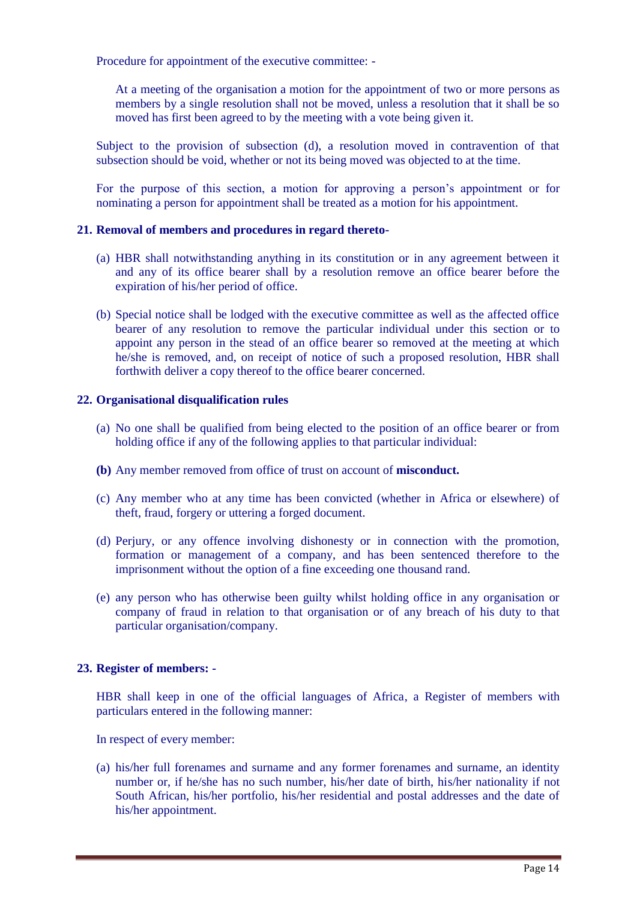Procedure for appointment of the executive committee: -

At a meeting of the organisation a motion for the appointment of two or more persons as members by a single resolution shall not be moved, unless a resolution that it shall be so moved has first been agreed to by the meeting with a vote being given it.

Subject to the provision of subsection (d), a resolution moved in contravention of that subsection should be void, whether or not its being moved was objected to at the time.

For the purpose of this section, a motion for approving a person's appointment or for nominating a person for appointment shall be treated as a motion for his appointment.

#### **21. Removal of members and procedures in regard thereto-**

- (a) HBR shall notwithstanding anything in its constitution or in any agreement between it and any of its office bearer shall by a resolution remove an office bearer before the expiration of his/her period of office.
- (b) Special notice shall be lodged with the executive committee as well as the affected office bearer of any resolution to remove the particular individual under this section or to appoint any person in the stead of an office bearer so removed at the meeting at which he/she is removed, and, on receipt of notice of such a proposed resolution, HBR shall forthwith deliver a copy thereof to the office bearer concerned.

#### **22. Organisational disqualification rules**

- (a) No one shall be qualified from being elected to the position of an office bearer or from holding office if any of the following applies to that particular individual:
- **(b)** Any member removed from office of trust on account of **misconduct.**
- (c) Any member who at any time has been convicted (whether in Africa or elsewhere) of theft, fraud, forgery or uttering a forged document.
- (d) Perjury, or any offence involving dishonesty or in connection with the promotion, formation or management of a company, and has been sentenced therefore to the imprisonment without the option of a fine exceeding one thousand rand.
- (e) any person who has otherwise been guilty whilst holding office in any organisation or company of fraud in relation to that organisation or of any breach of his duty to that particular organisation/company.

#### **23. Register of members: -**

HBR shall keep in one of the official languages of Africa, a Register of members with particulars entered in the following manner:

In respect of every member:

(a) his/her full forenames and surname and any former forenames and surname, an identity number or, if he/she has no such number, his/her date of birth, his/her nationality if not South African, his/her portfolio, his/her residential and postal addresses and the date of his/her appointment.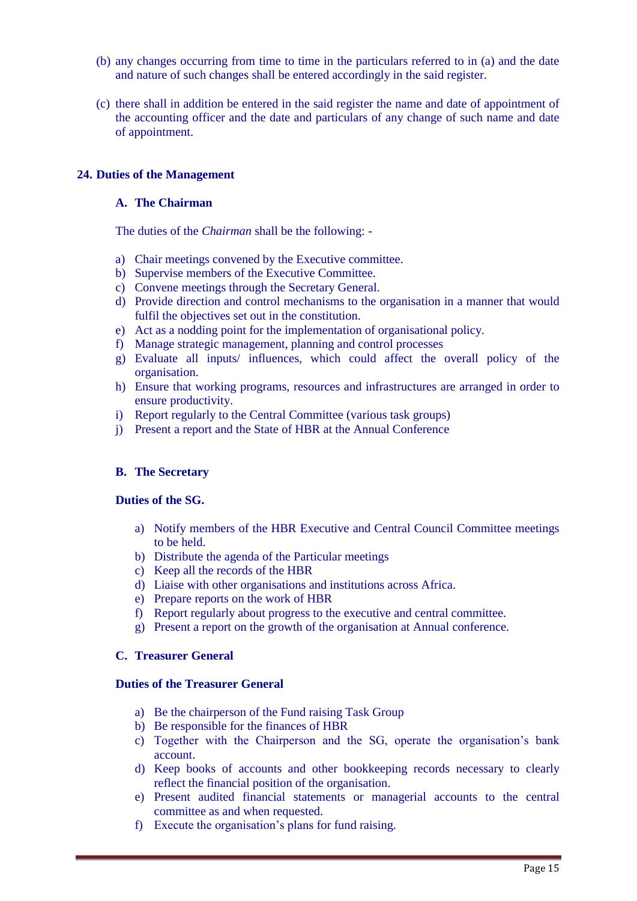- (b) any changes occurring from time to time in the particulars referred to in (a) and the date and nature of such changes shall be entered accordingly in the said register.
- (c) there shall in addition be entered in the said register the name and date of appointment of the accounting officer and the date and particulars of any change of such name and date of appointment.

#### **24. Duties of the Management**

#### **A. The Chairman**

The duties of the *Chairman* shall be the following: -

- a) Chair meetings convened by the Executive committee.
- b) Supervise members of the Executive Committee.
- c) Convene meetings through the Secretary General.
- d) Provide direction and control mechanisms to the organisation in a manner that would fulfil the objectives set out in the constitution.
- e) Act as a nodding point for the implementation of organisational policy.
- f) Manage strategic management, planning and control processes
- g) Evaluate all inputs/ influences, which could affect the overall policy of the organisation.
- h) Ensure that working programs, resources and infrastructures are arranged in order to ensure productivity.
- i) Report regularly to the Central Committee (various task groups)
- j) Present a report and the State of HBR at the Annual Conference

#### **B. The Secretary**

#### **Duties of the SG.**

- a) Notify members of the HBR Executive and Central Council Committee meetings to be held.
- b) Distribute the agenda of the Particular meetings
- c) Keep all the records of the HBR
- d) Liaise with other organisations and institutions across Africa.
- e) Prepare reports on the work of HBR
- f) Report regularly about progress to the executive and central committee.
- g) Present a report on the growth of the organisation at Annual conference.

#### **C. Treasurer General**

#### **Duties of the Treasurer General**

- a) Be the chairperson of the Fund raising Task Group
- b) Be responsible for the finances of HBR
- c) Together with the Chairperson and the SG, operate the organisation's bank account.
- d) Keep books of accounts and other bookkeeping records necessary to clearly reflect the financial position of the organisation.
- e) Present audited financial statements or managerial accounts to the central committee as and when requested.
- f) Execute the organisation's plans for fund raising.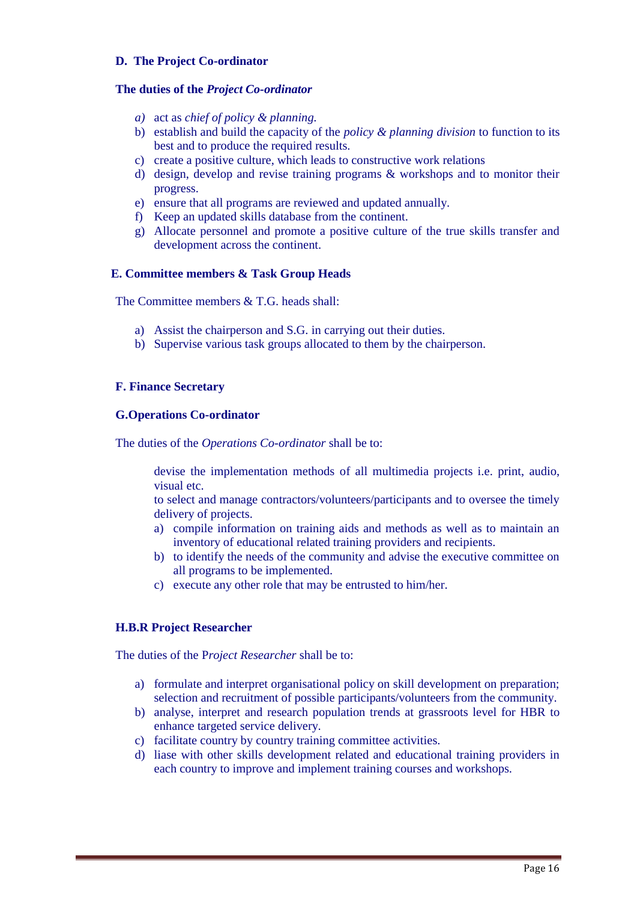#### **D. The Project Co-ordinator**

#### **The duties of the** *Project Co-ordinator*

- *a)* act as *chief of policy & planning.*
- b) establish and build the capacity of the *policy & planning division* to function to its best and to produce the required results.
- c) create a positive culture, which leads to constructive work relations
- d) design, develop and revise training programs & workshops and to monitor their progress.
- e) ensure that all programs are reviewed and updated annually.
- f) Keep an updated skills database from the continent.
- g) Allocate personnel and promote a positive culture of the true skills transfer and development across the continent.

#### **E. Committee members & Task Group Heads**

The Committee members  $& T \cdot G$  heads shall:

- a) Assist the chairperson and S.G. in carrying out their duties.
- b) Supervise various task groups allocated to them by the chairperson.

#### **F. Finance Secretary**

#### **G.Operations Co-ordinator**

The duties of the *Operations Co-ordinator* shall be to:

devise the implementation methods of all multimedia projects i.e. print, audio, visual etc.

to select and manage contractors/volunteers/participants and to oversee the timely delivery of projects.

- a) compile information on training aids and methods as well as to maintain an inventory of educational related training providers and recipients.
- b) to identify the needs of the community and advise the executive committee on all programs to be implemented.
- c) execute any other role that may be entrusted to him/her.

## **H.B.R Project Researcher**

The duties of the P*roject Researcher* shall be to:

- a) formulate and interpret organisational policy on skill development on preparation; selection and recruitment of possible participants/volunteers from the community.
- b) analyse, interpret and research population trends at grassroots level for HBR to enhance targeted service delivery.
- c) facilitate country by country training committee activities.
- d) liase with other skills development related and educational training providers in each country to improve and implement training courses and workshops.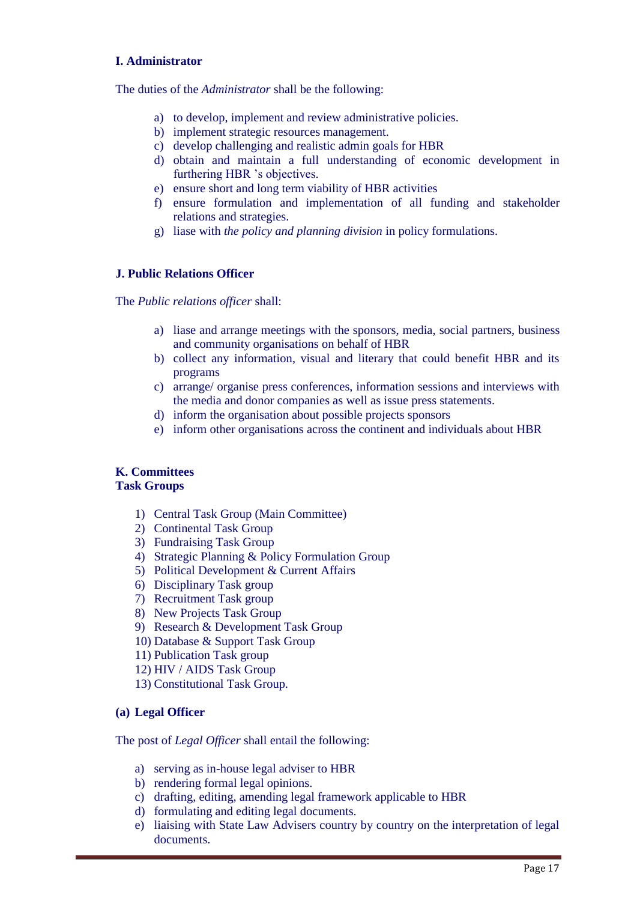#### **I. Administrator**

The duties of the *Administrator* shall be the following:

- a) to develop, implement and review administrative policies.
- b) implement strategic resources management.
- c) develop challenging and realistic admin goals for HBR
- d) obtain and maintain a full understanding of economic development in furthering HBR 's objectives.
- e) ensure short and long term viability of HBR activities
- f) ensure formulation and implementation of all funding and stakeholder relations and strategies.
- g) liase with *the policy and planning division* in policy formulations.

#### **J. Public Relations Officer**

The *Public relations officer* shall:

- a) liase and arrange meetings with the sponsors, media, social partners, business and community organisations on behalf of HBR
- b) collect any information, visual and literary that could benefit HBR and its programs
- c) arrange/ organise press conferences, information sessions and interviews with the media and donor companies as well as issue press statements.
- d) inform the organisation about possible projects sponsors
- e) inform other organisations across the continent and individuals about HBR

#### **K. Committees Task Groups**

- 1) Central Task Group (Main Committee)
- 2) Continental Task Group
- 3) Fundraising Task Group
- 4) Strategic Planning & Policy Formulation Group
- 5) Political Development & Current Affairs
- 6) Disciplinary Task group
- 7) Recruitment Task group
- 8) New Projects Task Group
- 9) Research & Development Task Group
- 10) Database & Support Task Group
- 11) Publication Task group
- 12) HIV / AIDS Task Group
- 13) Constitutional Task Group.

#### **(a) Legal Officer**

The post of *Legal Officer* shall entail the following:

- a) serving as in-house legal adviser to HBR
- b) rendering formal legal opinions.
- c) drafting, editing, amending legal framework applicable to HBR
- d) formulating and editing legal documents.
- e) liaising with State Law Advisers country by country on the interpretation of legal documents.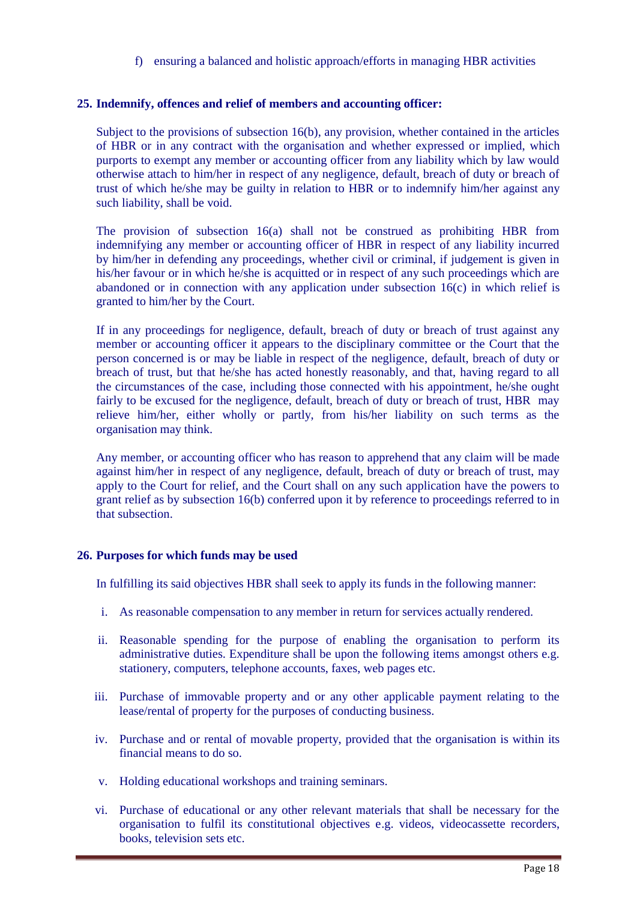f) ensuring a balanced and holistic approach/efforts in managing HBR activities

#### **25. Indemnify, offences and relief of members and accounting officer:**

Subject to the provisions of subsection 16(b), any provision, whether contained in the articles of HBR or in any contract with the organisation and whether expressed or implied, which purports to exempt any member or accounting officer from any liability which by law would otherwise attach to him/her in respect of any negligence, default, breach of duty or breach of trust of which he/she may be guilty in relation to HBR or to indemnify him/her against any such liability, shall be void.

The provision of subsection 16(a) shall not be construed as prohibiting HBR from indemnifying any member or accounting officer of HBR in respect of any liability incurred by him/her in defending any proceedings, whether civil or criminal, if judgement is given in his/her favour or in which he/she is acquitted or in respect of any such proceedings which are abandoned or in connection with any application under subsection  $16(c)$  in which relief is granted to him/her by the Court.

If in any proceedings for negligence, default, breach of duty or breach of trust against any member or accounting officer it appears to the disciplinary committee or the Court that the person concerned is or may be liable in respect of the negligence, default, breach of duty or breach of trust, but that he/she has acted honestly reasonably, and that, having regard to all the circumstances of the case, including those connected with his appointment, he/she ought fairly to be excused for the negligence, default, breach of duty or breach of trust, HBR may relieve him/her, either wholly or partly, from his/her liability on such terms as the organisation may think.

Any member, or accounting officer who has reason to apprehend that any claim will be made against him/her in respect of any negligence, default, breach of duty or breach of trust, may apply to the Court for relief, and the Court shall on any such application have the powers to grant relief as by subsection 16(b) conferred upon it by reference to proceedings referred to in that subsection.

#### **26. Purposes for which funds may be used**

In fulfilling its said objectives HBR shall seek to apply its funds in the following manner:

- i. As reasonable compensation to any member in return for services actually rendered.
- ii. Reasonable spending for the purpose of enabling the organisation to perform its administrative duties. Expenditure shall be upon the following items amongst others e.g. stationery, computers, telephone accounts, faxes, web pages etc.
- iii. Purchase of immovable property and or any other applicable payment relating to the lease/rental of property for the purposes of conducting business.
- iv. Purchase and or rental of movable property, provided that the organisation is within its financial means to do so.
- v. Holding educational workshops and training seminars.
- vi. Purchase of educational or any other relevant materials that shall be necessary for the organisation to fulfil its constitutional objectives e.g. videos, videocassette recorders, books, television sets etc.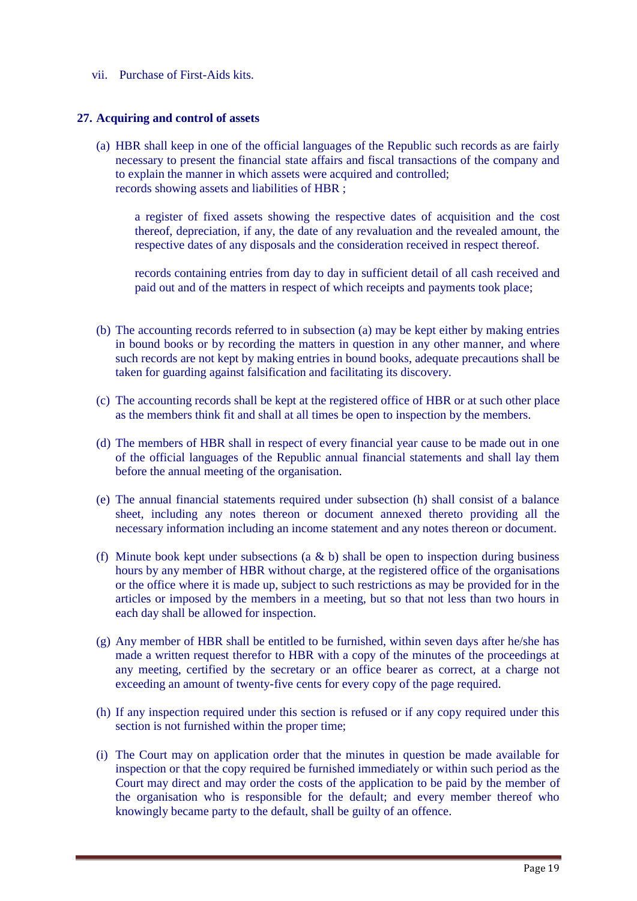vii. Purchase of First-Aids kits.

#### **27. Acquiring and control of assets**

(a) HBR shall keep in one of the official languages of the Republic such records as are fairly necessary to present the financial state affairs and fiscal transactions of the company and to explain the manner in which assets were acquired and controlled; records showing assets and liabilities of HBR ;

a register of fixed assets showing the respective dates of acquisition and the cost thereof, depreciation, if any, the date of any revaluation and the revealed amount, the respective dates of any disposals and the consideration received in respect thereof.

records containing entries from day to day in sufficient detail of all cash received and paid out and of the matters in respect of which receipts and payments took place;

- (b) The accounting records referred to in subsection (a) may be kept either by making entries in bound books or by recording the matters in question in any other manner, and where such records are not kept by making entries in bound books, adequate precautions shall be taken for guarding against falsification and facilitating its discovery.
- (c) The accounting records shall be kept at the registered office of HBR or at such other place as the members think fit and shall at all times be open to inspection by the members.
- (d) The members of HBR shall in respect of every financial year cause to be made out in one of the official languages of the Republic annual financial statements and shall lay them before the annual meeting of the organisation.
- (e) The annual financial statements required under subsection (h) shall consist of a balance sheet, including any notes thereon or document annexed thereto providing all the necessary information including an income statement and any notes thereon or document.
- (f) Minute book kept under subsections (a  $\&$  b) shall be open to inspection during business hours by any member of HBR without charge, at the registered office of the organisations or the office where it is made up, subject to such restrictions as may be provided for in the articles or imposed by the members in a meeting, but so that not less than two hours in each day shall be allowed for inspection.
- (g) Any member of HBR shall be entitled to be furnished, within seven days after he/she has made a written request therefor to HBR with a copy of the minutes of the proceedings at any meeting, certified by the secretary or an office bearer as correct, at a charge not exceeding an amount of twenty-five cents for every copy of the page required.
- (h) If any inspection required under this section is refused or if any copy required under this section is not furnished within the proper time;
- (i) The Court may on application order that the minutes in question be made available for inspection or that the copy required be furnished immediately or within such period as the Court may direct and may order the costs of the application to be paid by the member of the organisation who is responsible for the default; and every member thereof who knowingly became party to the default, shall be guilty of an offence.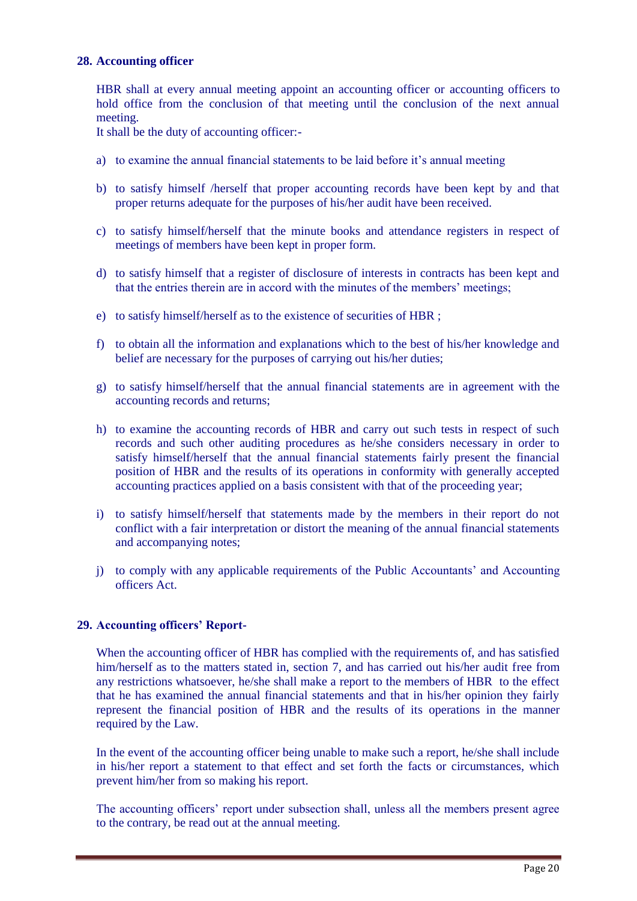#### **28. Accounting officer**

HBR shall at every annual meeting appoint an accounting officer or accounting officers to hold office from the conclusion of that meeting until the conclusion of the next annual meeting.

It shall be the duty of accounting officer:-

- a) to examine the annual financial statements to be laid before it's annual meeting
- b) to satisfy himself /herself that proper accounting records have been kept by and that proper returns adequate for the purposes of his/her audit have been received.
- c) to satisfy himself/herself that the minute books and attendance registers in respect of meetings of members have been kept in proper form.
- d) to satisfy himself that a register of disclosure of interests in contracts has been kept and that the entries therein are in accord with the minutes of the members' meetings;
- e) to satisfy himself/herself as to the existence of securities of HBR ;
- f) to obtain all the information and explanations which to the best of his/her knowledge and belief are necessary for the purposes of carrying out his/her duties;
- g) to satisfy himself/herself that the annual financial statements are in agreement with the accounting records and returns;
- h) to examine the accounting records of HBR and carry out such tests in respect of such records and such other auditing procedures as he/she considers necessary in order to satisfy himself/herself that the annual financial statements fairly present the financial position of HBR and the results of its operations in conformity with generally accepted accounting practices applied on a basis consistent with that of the proceeding year;
- i) to satisfy himself/herself that statements made by the members in their report do not conflict with a fair interpretation or distort the meaning of the annual financial statements and accompanying notes;
- j) to comply with any applicable requirements of the Public Accountants' and Accounting officers Act.

#### **29. Accounting officers' Report-**

When the accounting officer of HBR has complied with the requirements of, and has satisfied him/herself as to the matters stated in, section 7, and has carried out his/her audit free from any restrictions whatsoever, he/she shall make a report to the members of HBR to the effect that he has examined the annual financial statements and that in his/her opinion they fairly represent the financial position of HBR and the results of its operations in the manner required by the Law.

In the event of the accounting officer being unable to make such a report, he/she shall include in his/her report a statement to that effect and set forth the facts or circumstances, which prevent him/her from so making his report.

The accounting officers' report under subsection shall, unless all the members present agree to the contrary, be read out at the annual meeting.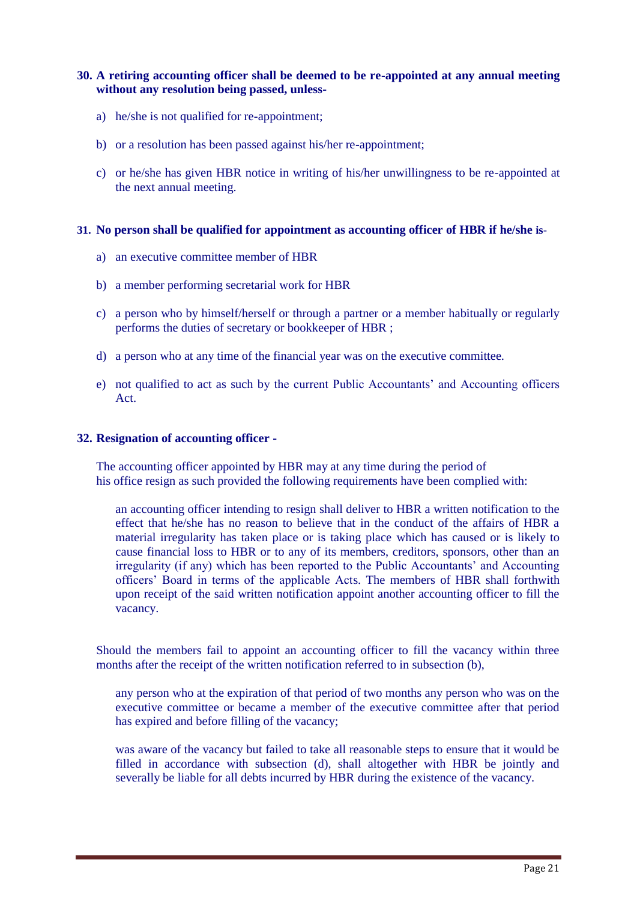#### **30. A retiring accounting officer shall be deemed to be re-appointed at any annual meeting without any resolution being passed, unless-**

- a) he/she is not qualified for re-appointment;
- b) or a resolution has been passed against his/her re-appointment;
- c) or he/she has given HBR notice in writing of his/her unwillingness to be re-appointed at the next annual meeting.

#### **31. No person shall be qualified for appointment as accounting officer of HBR if he/she is-**

- a) an executive committee member of HBR
- b) a member performing secretarial work for HBR
- c) a person who by himself/herself or through a partner or a member habitually or regularly performs the duties of secretary or bookkeeper of HBR ;
- d) a person who at any time of the financial year was on the executive committee.
- e) not qualified to act as such by the current Public Accountants' and Accounting officers Act.

#### **32. Resignation of accounting officer -**

The accounting officer appointed by HBR may at any time during the period of his office resign as such provided the following requirements have been complied with:

an accounting officer intending to resign shall deliver to HBR a written notification to the effect that he/she has no reason to believe that in the conduct of the affairs of HBR a material irregularity has taken place or is taking place which has caused or is likely to cause financial loss to HBR or to any of its members, creditors, sponsors, other than an irregularity (if any) which has been reported to the Public Accountants' and Accounting officers' Board in terms of the applicable Acts. The members of HBR shall forthwith upon receipt of the said written notification appoint another accounting officer to fill the vacancy.

Should the members fail to appoint an accounting officer to fill the vacancy within three months after the receipt of the written notification referred to in subsection (b),

any person who at the expiration of that period of two months any person who was on the executive committee or became a member of the executive committee after that period has expired and before filling of the vacancy;

was aware of the vacancy but failed to take all reasonable steps to ensure that it would be filled in accordance with subsection (d), shall altogether with HBR be jointly and severally be liable for all debts incurred by HBR during the existence of the vacancy.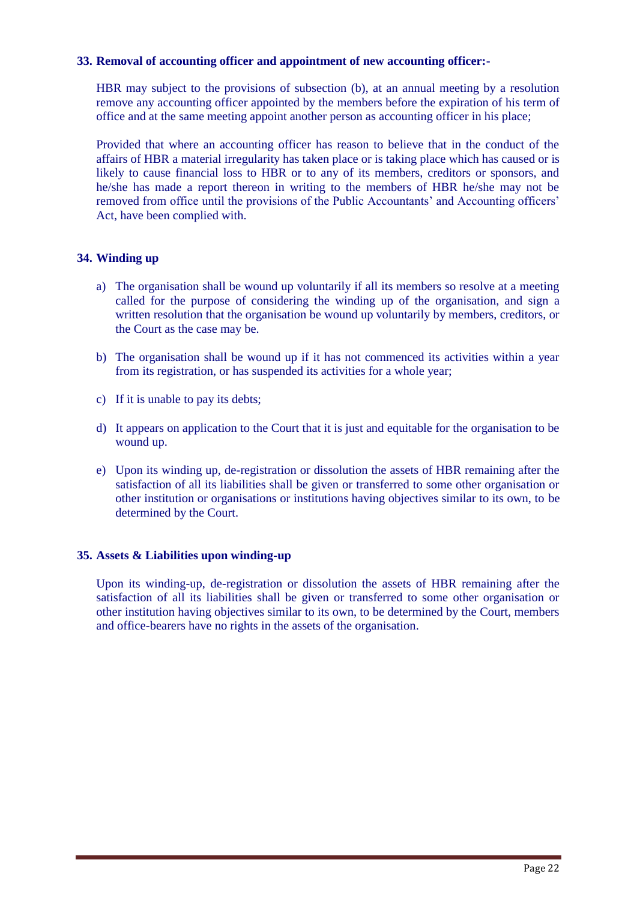#### **33. Removal of accounting officer and appointment of new accounting officer:-**

HBR may subject to the provisions of subsection (b), at an annual meeting by a resolution remove any accounting officer appointed by the members before the expiration of his term of office and at the same meeting appoint another person as accounting officer in his place;

Provided that where an accounting officer has reason to believe that in the conduct of the affairs of HBR a material irregularity has taken place or is taking place which has caused or is likely to cause financial loss to HBR or to any of its members, creditors or sponsors, and he/she has made a report thereon in writing to the members of HBR he/she may not be removed from office until the provisions of the Public Accountants' and Accounting officers' Act, have been complied with.

#### **34. Winding up**

- a) The organisation shall be wound up voluntarily if all its members so resolve at a meeting called for the purpose of considering the winding up of the organisation, and sign a written resolution that the organisation be wound up voluntarily by members, creditors, or the Court as the case may be.
- b) The organisation shall be wound up if it has not commenced its activities within a year from its registration, or has suspended its activities for a whole year;
- c) If it is unable to pay its debts;
- d) It appears on application to the Court that it is just and equitable for the organisation to be wound up.
- e) Upon its winding up, de-registration or dissolution the assets of HBR remaining after the satisfaction of all its liabilities shall be given or transferred to some other organisation or other institution or organisations or institutions having objectives similar to its own, to be determined by the Court.

#### **35. Assets & Liabilities upon winding-up**

Upon its winding-up, de-registration or dissolution the assets of HBR remaining after the satisfaction of all its liabilities shall be given or transferred to some other organisation or other institution having objectives similar to its own, to be determined by the Court, members and office-bearers have no rights in the assets of the organisation.